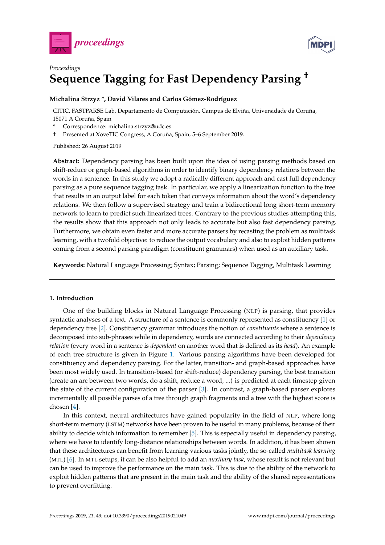



# *Proceedings* **Sequence Tagging for Fast Dependency Parsing †**

## **Michalina Strzyz \*, David Vilares and Carlos Gómez-Rodríguez**

CITIC, FASTPARSE Lab, Departamento de Computación, Campus de Elviña, Universidade da Coruña, 15071 A Coruña, Spain

- **\*** Correspondence: michalina.strzyz@udc.es
- † Presented at XoveTIC Congress, A Coruña, Spain, 5–6 September 2019.

Published: 26 August 2019

**Abstract:** Dependency parsing has been built upon the idea of using parsing methods based on shift-reduce or graph-based algorithms in order to identify binary dependency relations between the words in a sentence. In this study we adopt a radically different approach and cast full dependency parsing as a pure sequence tagging task. In particular, we apply a linearization function to the tree that results in an output label for each token that conveys information about the word's dependency relations. We then follow a supervised strategy and train a bidirectional long short-term memory network to learn to predict such linearized trees. Contrary to the previous studies attempting this, the results show that this approach not only leads to accurate but also fast dependency parsing. Furthermore, we obtain even faster and more accurate parsers by recasting the problem as multitask learning, with a twofold objective: to reduce the output vocabulary and also to exploit hidden patterns coming from a second parsing paradigm (constituent grammars) when used as an auxiliary task.

**Keywords:** Natural Language Processing; Syntax; Parsing; Sequence Tagging, Multitask Learning

## **1. Introduction**

One of the building blocks in Natural Language Processing (NLP) is parsing, that provides syntactic analyses of a text. A structure of a sentence is commonly represented as constituency [\[1\]](#page-2-0) or dependency tree [\[2\]](#page-2-1). Constituency grammar introduces the notion of *constituents* where a sentence is decomposed into sub-phrases while in dependency, words are connected according to their *dependency relation* (every word in a sentence is *dependent* on another word that is defined as its *head*). An example of each tree structure is given in Figure [1.](#page-1-0) Various parsing algorithms have been developed for constituency and dependency parsing. For the latter, transition- and graph-based approaches have been most widely used. In transition-based (or shift-reduce) dependency parsing, the best transition (create an arc between two words, do a shift, reduce a word, ...) is predicted at each timestep given the state of the current configuration of the parser [\[3\]](#page-2-2). In contrast, a graph-based parser explores incrementally all possible parses of a tree through graph fragments and a tree with the highest score is chosen [\[4\]](#page-2-3).

In this context, neural architectures have gained popularity in the field of NLP, where long short-term memory (LSTM) networks have been proven to be useful in many problems, because of their ability to decide which information to remember [\[5\]](#page-2-4). This is especially useful in dependency parsing, where we have to identify long-distance relationships between words. In addition, it has been shown that these architectures can benefit from learning various tasks jointly, the so-called *multitask learning* (MTL) [\[6\]](#page-2-5). In MTL setups, it can be also helpful to add an *auxiliary task*, whose result is not relevant but can be used to improve the performance on the main task. This is due to the ability of the network to exploit hidden patterns that are present in the main task and the ability of the shared representations to prevent overfitting.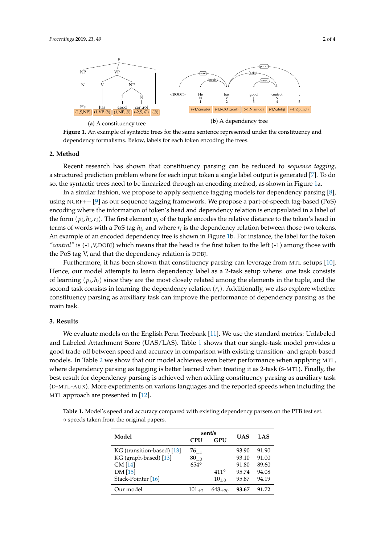<span id="page-1-0"></span>

**Figure 1.** An example of syntactic trees for the same sentence represented under the constituency and dependency formalisms. Below, labels for each token encoding the trees.

# **2. Method**

Recent research has shown that constituency parsing can be reduced to *sequence tagging*, a structured prediction problem where for each input token a single label output is generated [\[7\]](#page-2-6). To do so, the syntactic trees need to be linearized through an encoding method, as shown in Figure [1a](#page-1-0).

In a similar fashion, we propose to apply sequence tagging models for dependency parsing [\[8\]](#page-2-7), using NCRF++ [\[9\]](#page-2-8) as our sequence tagging framework. We propose a part-of-speech tag-based (PoS) encoding where the information of token's head and dependency relation is encapsulated in a label of the form  $(p_i, h_i, r_i)$ . The first element  $p_i$  of the tuple encodes the relative distance to the token's head in terms of words with a PoS tag *h<sup>i</sup>* , and where *r<sup>i</sup>* is the dependency relation between those two tokens. An example of an encoded dependency tree is shown in Figure [1b](#page-1-0). For instance, the label for the token *"control"* is (-1,V,DOBJ) which means that the head is the first token to the left (-1) among those with the PoS tag V, and that the dependency relation is DOBJ.

Furthermore, it has been shown that constituency parsing can leverage from MTL setups [\[10\]](#page-2-9). Hence, our model attempts to learn dependency label as a 2-task setup where: one task consists of learning  $(p_i, h_i)$  since they are the most closely related among the elements in the tuple, and the second task consists in learning the dependency relation (*ri*). Additionally, we also explore whether constituency parsing as auxiliary task can improve the performance of dependency parsing as the main task.

#### **3. Results**

We evaluate models on the English Penn Treebank [\[11\]](#page-2-10). We use the standard metrics: Unlabeled and Labeled Attachment Score (UAS/LAS). Table [1](#page-1-1) shows that our single-task model provides a good trade-off between speed and accuracy in comparison with existing transition- and graph-based models. In Table [2](#page-2-11) we show that our model achieves even better performance when applying MTL, where dependency parsing as tagging is better learned when treating it as 2-task (S-MTL). Finally, the best result for dependency parsing is achieved when adding constituency parsing as auxiliary task (D-MTL-AUX). More experiments on various languages and the reported speeds when including the MTL approach are presented in [\[12\]](#page-2-12).

<span id="page-1-1"></span>**Table 1.** Model's speed and accuracy compared with existing dependency parsers on the PTB test set.  $\diamond$  speeds taken from the original papers.

| Model                      | sent/s        |               | UAS   | LAS   |
|----------------------------|---------------|---------------|-------|-------|
|                            | <b>CPU</b>    | GPU           |       |       |
| KG (transition-based) [13] | $76_{+1}$     |               | 93.90 | 91.90 |
| KG (graph-based) [13]      | $80_{+0}$     |               | 93.10 | 91.00 |
| <b>CM</b> [14]             | $654^{\circ}$ |               | 91.80 | 89.60 |
| DM [15]                    |               | $411^{\circ}$ | 95.74 | 94.08 |
| Stack-Pointer [16]         |               | $10_{+0}$     | 95.87 | 94.19 |
| Our model                  | $101_{+2}$    | $648+20$      | 93.67 | 91.72 |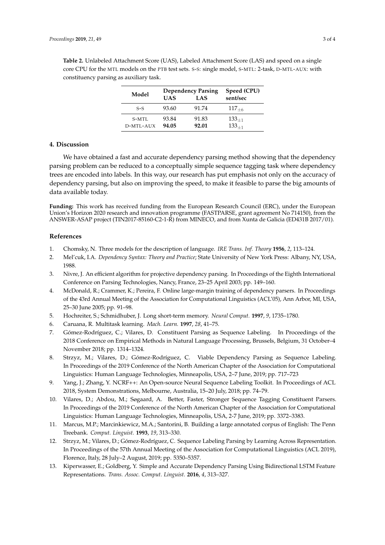<span id="page-2-11"></span>

| Table 2. Unlabeled Attachment Score (UAS), Labeled Attachment Score (LAS) and speed on a single     |
|-----------------------------------------------------------------------------------------------------|
| core CPU for the MTL models on the PTB test sets. S-S: single model, S-MTL: 2-task, D-MTL-AUX: with |
| constituency parsing as auxiliary task.                                                             |

| Model              | <b>Dependency Parsing</b><br><b>UAS</b><br>LAS |                | Speed (CPU)<br>sent/sec  |  |
|--------------------|------------------------------------------------|----------------|--------------------------|--|
| $S-S$              | 93.60                                          | 91.74          | $117_{+6}$               |  |
| S-MTL<br>D-MTL-AUX | 93.84<br>94.05                                 | 91.83<br>92.01 | $133_{+1}$<br>$133_{+1}$ |  |

#### **4. Discussion**

We have obtained a fast and accurate dependency parsing method showing that the dependency parsing problem can be reduced to a conceptually simple sequence tagging task where dependency trees are encoded into labels. In this way, our research has put emphasis not only on the accuracy of dependency parsing, but also on improving the speed, to make it feasible to parse the big amounts of data available today.

**Funding:** This work has received funding from the European Research Council (ERC), under the European Union's Horizon 2020 research and innovation programme (FASTPARSE, grant agreement No 714150), from the ANSWER-ASAP project (TIN2017-85160-C2-1-R) from MINECO, and from Xunta de Galicia (ED431B 2017/01).

#### **References**

- <span id="page-2-0"></span>1. Chomsky, N. Three models for the description of language. *IRE Trans. Inf. Theory* **1956**, *2*, 113–124.
- <span id="page-2-1"></span>2. Mel'cuk, I.A. *Dependency Syntax: Theory and Practice*; State University of New York Press: Albany, NY, USA, 1988.
- <span id="page-2-2"></span>3. Nivre, J. An efficient algorithm for projective dependency parsing. In Proceedings of the Eighth International Conference on Parsing Technologies, Nancy, France, 23–25 April 2003; pp. 149–160.
- <span id="page-2-3"></span>4. McDonald, R.; Crammer, K.; Pereira, F. Online large-margin training of dependency parsers. In Proceedings of the 43rd Annual Meeting of the Association for Computational Linguistics (ACL'05), Ann Arbor, MI, USA, 25–30 June 2005; pp. 91–98.
- <span id="page-2-4"></span>5. Hochreiter, S.; Schmidhuber, J. Long short-term memory. *Neural Comput.* **1997**, *9*, 1735–1780.
- <span id="page-2-5"></span>6. Caruana, R. Multitask learning. *Mach. Learn.* **1997**, *28*, 41–75.
- <span id="page-2-6"></span>7. Gómez-Rodríguez, C.; Vilares, D. Constituent Parsing as Sequence Labeling. In Proceedings of the 2018 Conference on Empirical Methods in Natural Language Processing, Brussels, Belgium, 31 October–4 November 2018; pp. 1314–1324.
- <span id="page-2-7"></span>8. Strzyz, M.; Vilares, D.; Gómez-Rodríguez, C. Viable Dependency Parsing as Sequence Labeling. In Proceedings of the 2019 Conference of the North American Chapter of the Association for Computational Linguistics: Human Language Technologies, Minneapolis, USA, 2–7 June, 2019; pp. 717–723
- <span id="page-2-8"></span>9. Yang, J.; Zhang, Y. NCRF++: An Open-source Neural Sequence Labeling Toolkit. In Proceedings of ACL 2018, System Demonstrations, Melbourne, Australia, 15–20 July, 2018; pp. 74–79.
- <span id="page-2-9"></span>10. Vilares, D.; Abdou, M.; Søgaard, A. Better, Faster, Stronger Sequence Tagging Constituent Parsers. In Proceedings of the 2019 Conference of the North American Chapter of the Association for Computational Linguistics: Human Language Technologies, Minneapolis, USA, 2-7 June, 2019; pp. 3372–3383.
- <span id="page-2-10"></span>11. Marcus, M.P.; Marcinkiewicz, M.A.; Santorini, B. Building a large annotated corpus of English: The Penn Treebank. *Comput. Linguist.* **1993**, *19*, 313–330.
- <span id="page-2-12"></span>12. Strzyz, M.; Vilares, D.; Gómez-Rodríguez, C. Sequence Labeling Parsing by Learning Across Representation. In Proceedings of the 57th Annual Meeting of the Association for Computational Linguistics (ACL 2019), Florence, Italy, 28 July–2 August, 2019; pp. 5350–5357.
- <span id="page-2-13"></span>13. Kiperwasser, E.; Goldberg, Y. Simple and Accurate Dependency Parsing Using Bidirectional LSTM Feature Representations. *Trans. Assoc. Comput. Linguist.* **2016**, *4*, 313–327.